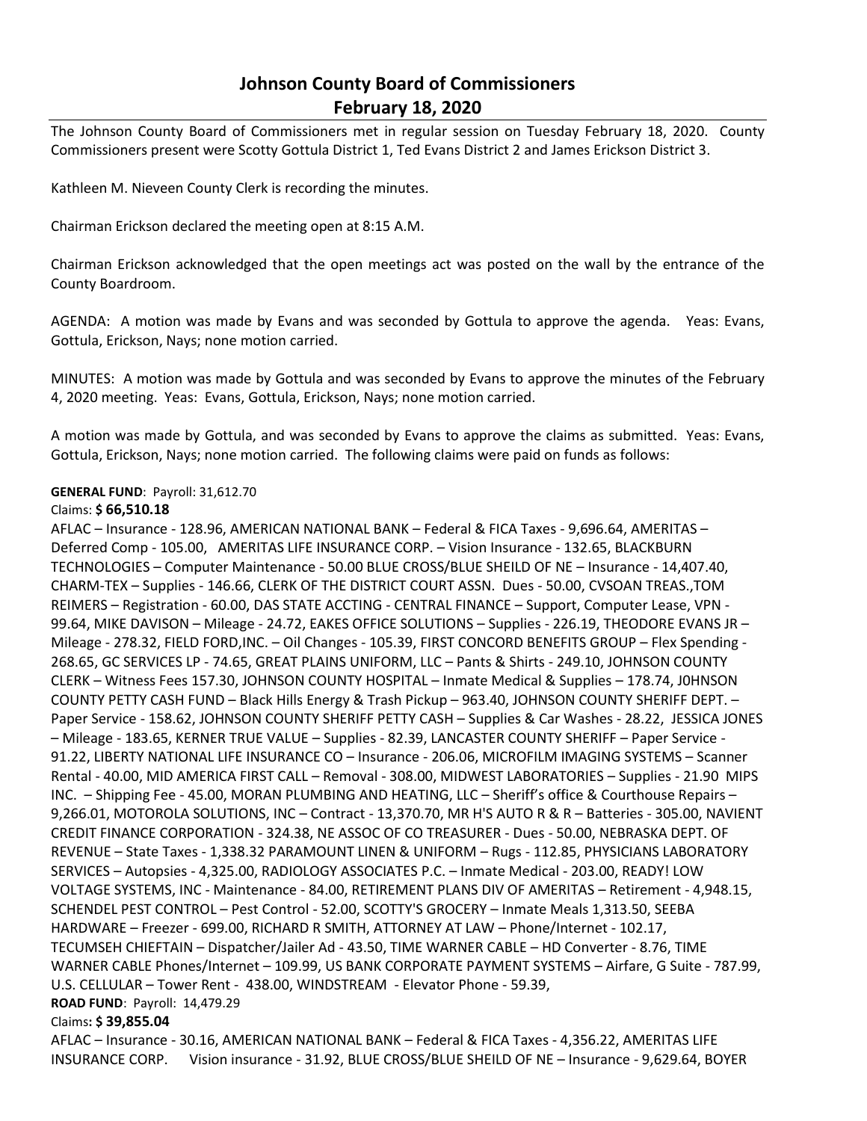# **Johnson County Board of Commissioners February 18, 2020**

The Johnson County Board of Commissioners met in regular session on Tuesday February 18, 2020. County Commissioners present were Scotty Gottula District 1, Ted Evans District 2 and James Erickson District 3.

Kathleen M. Nieveen County Clerk is recording the minutes.

Chairman Erickson declared the meeting open at 8:15 A.M.

Chairman Erickson acknowledged that the open meetings act was posted on the wall by the entrance of the County Boardroom.

AGENDA: A motion was made by Evans and was seconded by Gottula to approve the agenda. Yeas: Evans, Gottula, Erickson, Nays; none motion carried.

MINUTES: A motion was made by Gottula and was seconded by Evans to approve the minutes of the February 4, 2020 meeting. Yeas: Evans, Gottula, Erickson, Nays; none motion carried.

A motion was made by Gottula, and was seconded by Evans to approve the claims as submitted. Yeas: Evans, Gottula, Erickson, Nays; none motion carried. The following claims were paid on funds as follows:

## **GENERAL FUND**: Payroll: 31,612.70

### Claims: **\$ 66,510.18**

AFLAC – Insurance - 128.96, AMERICAN NATIONAL BANK – Federal & FICA Taxes - 9,696.64, AMERITAS – Deferred Comp - 105.00, AMERITAS LIFE INSURANCE CORP. – Vision Insurance - 132.65, BLACKBURN TECHNOLOGIES – Computer Maintenance - 50.00 BLUE CROSS/BLUE SHEILD OF NE – Insurance - 14,407.40, CHARM-TEX – Supplies - 146.66, CLERK OF THE DISTRICT COURT ASSN. Dues - 50.00, CVSOAN TREAS.,TOM REIMERS – Registration - 60.00, DAS STATE ACCTING - CENTRAL FINANCE – Support, Computer Lease, VPN - 99.64, MIKE DAVISON – Mileage - 24.72, EAKES OFFICE SOLUTIONS – Supplies - 226.19, THEODORE EVANS JR – Mileage - 278.32, FIELD FORD,INC. – Oil Changes - 105.39, FIRST CONCORD BENEFITS GROUP – Flex Spending - 268.65, GC SERVICES LP - 74.65, GREAT PLAINS UNIFORM, LLC – Pants & Shirts - 249.10, JOHNSON COUNTY CLERK – Witness Fees 157.30, JOHNSON COUNTY HOSPITAL – Inmate Medical & Supplies – 178.74, J0HNSON COUNTY PETTY CASH FUND – Black Hills Energy & Trash Pickup – 963.40, JOHNSON COUNTY SHERIFF DEPT. – Paper Service - 158.62, JOHNSON COUNTY SHERIFF PETTY CASH – Supplies & Car Washes - 28.22, JESSICA JONES – Mileage - 183.65, KERNER TRUE VALUE – Supplies - 82.39, LANCASTER COUNTY SHERIFF – Paper Service - 91.22, LIBERTY NATIONAL LIFE INSURANCE CO – Insurance - 206.06, MICROFILM IMAGING SYSTEMS – Scanner Rental - 40.00, MID AMERICA FIRST CALL – Removal - 308.00, MIDWEST LABORATORIES – Supplies - 21.90 MIPS INC. – Shipping Fee - 45.00, MORAN PLUMBING AND HEATING, LLC – Sheriff's office & Courthouse Repairs – 9,266.01, MOTOROLA SOLUTIONS, INC – Contract - 13,370.70, MR H'S AUTO R & R – Batteries - 305.00, NAVIENT CREDIT FINANCE CORPORATION - 324.38, NE ASSOC OF CO TREASURER - Dues - 50.00, NEBRASKA DEPT. OF REVENUE – State Taxes - 1,338.32 PARAMOUNT LINEN & UNIFORM – Rugs - 112.85, PHYSICIANS LABORATORY SERVICES – Autopsies - 4,325.00, RADIOLOGY ASSOCIATES P.C. – Inmate Medical - 203.00, READY! LOW VOLTAGE SYSTEMS, INC - Maintenance - 84.00, RETIREMENT PLANS DIV OF AMERITAS – Retirement - 4,948.15, SCHENDEL PEST CONTROL – Pest Control - 52.00, SCOTTY'S GROCERY – Inmate Meals 1,313.50, SEEBA HARDWARE – Freezer - 699.00, RICHARD R SMITH, ATTORNEY AT LAW – Phone/Internet - 102.17, TECUMSEH CHIEFTAIN – Dispatcher/Jailer Ad - 43.50, TIME WARNER CABLE – HD Converter - 8.76, TIME WARNER CABLE Phones/Internet – 109.99, US BANK CORPORATE PAYMENT SYSTEMS – Airfare, G Suite - 787.99, U.S. CELLULAR – Tower Rent - 438.00, WINDSTREAM - Elevator Phone - 59.39, **ROAD FUND**: Payroll: 14,479.29

## Claims**: \$ 39,855.04**

AFLAC – Insurance - 30.16, AMERICAN NATIONAL BANK – Federal & FICA Taxes - 4,356.22, AMERITAS LIFE INSURANCE CORP. Vision insurance - 31.92, BLUE CROSS/BLUE SHEILD OF NE – Insurance - 9,629.64, BOYER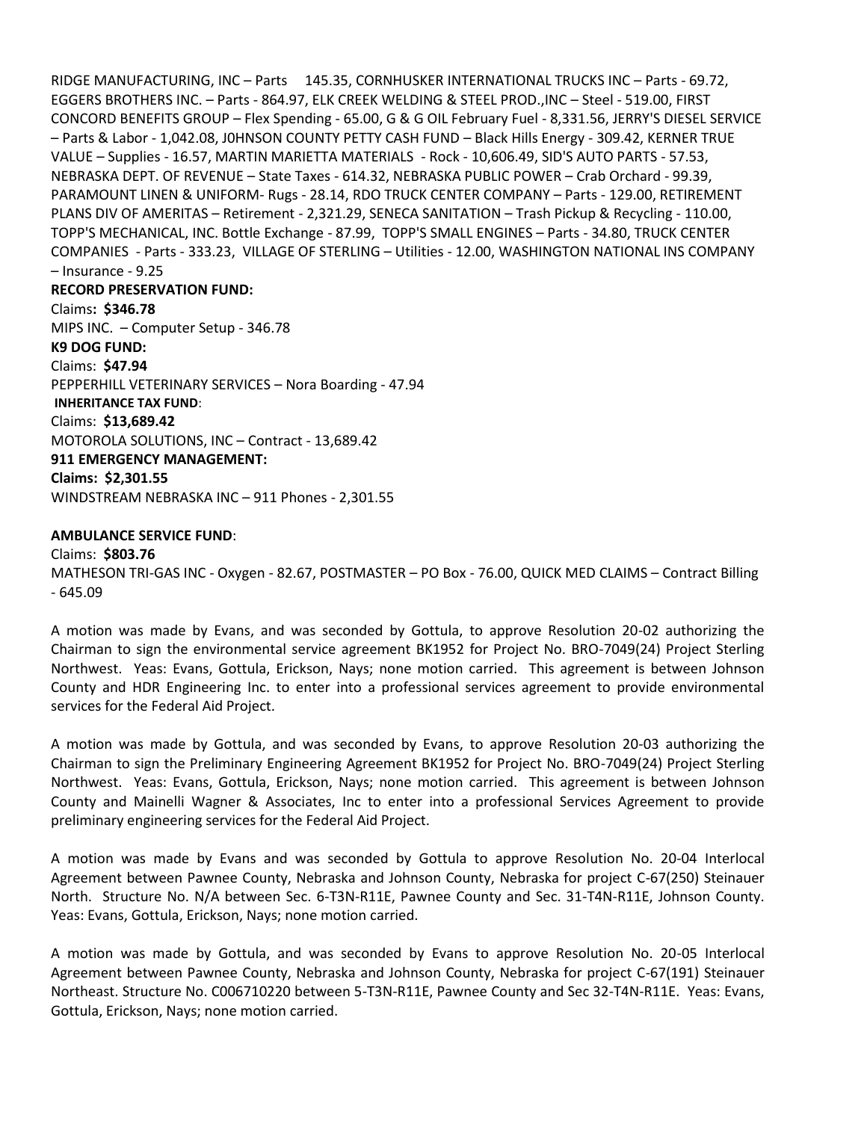RIDGE MANUFACTURING, INC – Parts 145.35, CORNHUSKER INTERNATIONAL TRUCKS INC – Parts - 69.72, EGGERS BROTHERS INC. – Parts - 864.97, ELK CREEK WELDING & STEEL PROD.,INC – Steel - 519.00, FIRST CONCORD BENEFITS GROUP – Flex Spending - 65.00, G & G OIL February Fuel - 8,331.56, JERRY'S DIESEL SERVICE – Parts & Labor - 1,042.08, J0HNSON COUNTY PETTY CASH FUND – Black Hills Energy - 309.42, KERNER TRUE VALUE – Supplies - 16.57, MARTIN MARIETTA MATERIALS - Rock - 10,606.49, SID'S AUTO PARTS - 57.53, NEBRASKA DEPT. OF REVENUE – State Taxes - 614.32, NEBRASKA PUBLIC POWER – Crab Orchard - 99.39, PARAMOUNT LINEN & UNIFORM- Rugs - 28.14, RDO TRUCK CENTER COMPANY – Parts - 129.00, RETIREMENT PLANS DIV OF AMERITAS – Retirement - 2,321.29, SENECA SANITATION – Trash Pickup & Recycling - 110.00, TOPP'S MECHANICAL, INC. Bottle Exchange - 87.99, TOPP'S SMALL ENGINES – Parts - 34.80, TRUCK CENTER COMPANIES - Parts - 333.23, VILLAGE OF STERLING – Utilities - 12.00, WASHINGTON NATIONAL INS COMPANY – Insurance - 9.25

#### **RECORD PRESERVATION FUND:**

Claims**: \$346.78** MIPS INC. – Computer Setup - 346.78 **K9 DOG FUND:** Claims: **\$47.94** PEPPERHILL VETERINARY SERVICES – Nora Boarding - 47.94 **INHERITANCE TAX FUND**: Claims: **\$13,689.42** MOTOROLA SOLUTIONS, INC – Contract - 13,689.42 **911 EMERGENCY MANAGEMENT: Claims: \$2,301.55** WINDSTREAM NEBRASKA INC – 911 Phones - 2,301.55

#### **AMBULANCE SERVICE FUND**:

Claims: **\$803.76** MATHESON TRI-GAS INC - Oxygen - 82.67, POSTMASTER – PO Box - 76.00, QUICK MED CLAIMS – Contract Billing - 645.09

A motion was made by Evans, and was seconded by Gottula, to approve Resolution 20-02 authorizing the Chairman to sign the environmental service agreement BK1952 for Project No. BRO-7049(24) Project Sterling Northwest. Yeas: Evans, Gottula, Erickson, Nays; none motion carried. This agreement is between Johnson County and HDR Engineering Inc. to enter into a professional services agreement to provide environmental services for the Federal Aid Project.

A motion was made by Gottula, and was seconded by Evans, to approve Resolution 20-03 authorizing the Chairman to sign the Preliminary Engineering Agreement BK1952 for Project No. BRO-7049(24) Project Sterling Northwest. Yeas: Evans, Gottula, Erickson, Nays; none motion carried. This agreement is between Johnson County and Mainelli Wagner & Associates, Inc to enter into a professional Services Agreement to provide preliminary engineering services for the Federal Aid Project.

A motion was made by Evans and was seconded by Gottula to approve Resolution No. 20-04 Interlocal Agreement between Pawnee County, Nebraska and Johnson County, Nebraska for project C-67(250) Steinauer North. Structure No. N/A between Sec. 6-T3N-R11E, Pawnee County and Sec. 31-T4N-R11E, Johnson County. Yeas: Evans, Gottula, Erickson, Nays; none motion carried.

A motion was made by Gottula, and was seconded by Evans to approve Resolution No. 20-05 Interlocal Agreement between Pawnee County, Nebraska and Johnson County, Nebraska for project C-67(191) Steinauer Northeast. Structure No. C006710220 between 5-T3N-R11E, Pawnee County and Sec 32-T4N-R11E. Yeas: Evans, Gottula, Erickson, Nays; none motion carried.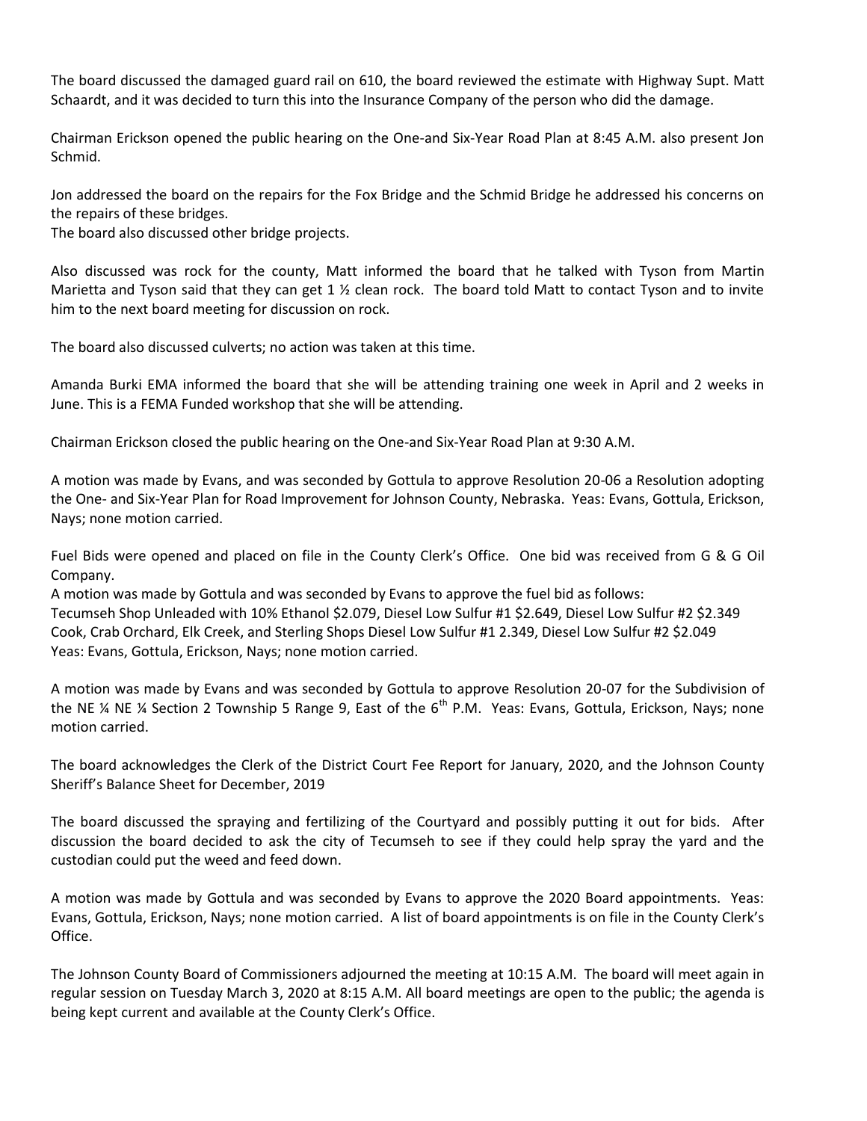The board discussed the damaged guard rail on 610, the board reviewed the estimate with Highway Supt. Matt Schaardt, and it was decided to turn this into the Insurance Company of the person who did the damage.

Chairman Erickson opened the public hearing on the One-and Six-Year Road Plan at 8:45 A.M. also present Jon Schmid.

Jon addressed the board on the repairs for the Fox Bridge and the Schmid Bridge he addressed his concerns on the repairs of these bridges.

The board also discussed other bridge projects.

Also discussed was rock for the county, Matt informed the board that he talked with Tyson from Martin Marietta and Tyson said that they can get 1  $\frac{1}{2}$  clean rock. The board told Matt to contact Tyson and to invite him to the next board meeting for discussion on rock.

The board also discussed culverts; no action was taken at this time.

Amanda Burki EMA informed the board that she will be attending training one week in April and 2 weeks in June. This is a FEMA Funded workshop that she will be attending.

Chairman Erickson closed the public hearing on the One-and Six-Year Road Plan at 9:30 A.M.

A motion was made by Evans, and was seconded by Gottula to approve Resolution 20-06 a Resolution adopting the One- and Six-Year Plan for Road Improvement for Johnson County, Nebraska. Yeas: Evans, Gottula, Erickson, Nays; none motion carried.

Fuel Bids were opened and placed on file in the County Clerk's Office. One bid was received from G & G Oil Company.

A motion was made by Gottula and was seconded by Evans to approve the fuel bid as follows: Tecumseh Shop Unleaded with 10% Ethanol \$2.079, Diesel Low Sulfur #1 \$2.649, Diesel Low Sulfur #2 \$2.349 Cook, Crab Orchard, Elk Creek, and Sterling Shops Diesel Low Sulfur #1 2.349, Diesel Low Sulfur #2 \$2.049 Yeas: Evans, Gottula, Erickson, Nays; none motion carried.

A motion was made by Evans and was seconded by Gottula to approve Resolution 20-07 for the Subdivision of the NE ¼ NE ¼ Section 2 Township 5 Range 9, East of the  $6<sup>th</sup>$  P.M. Yeas: Evans, Gottula, Erickson, Nays; none motion carried.

The board acknowledges the Clerk of the District Court Fee Report for January, 2020, and the Johnson County Sheriff's Balance Sheet for December, 2019

The board discussed the spraying and fertilizing of the Courtyard and possibly putting it out for bids. After discussion the board decided to ask the city of Tecumseh to see if they could help spray the yard and the custodian could put the weed and feed down.

A motion was made by Gottula and was seconded by Evans to approve the 2020 Board appointments. Yeas: Evans, Gottula, Erickson, Nays; none motion carried. A list of board appointments is on file in the County Clerk's Office.

The Johnson County Board of Commissioners adjourned the meeting at 10:15 A.M. The board will meet again in regular session on Tuesday March 3, 2020 at 8:15 A.M. All board meetings are open to the public; the agenda is being kept current and available at the County Clerk's Office.